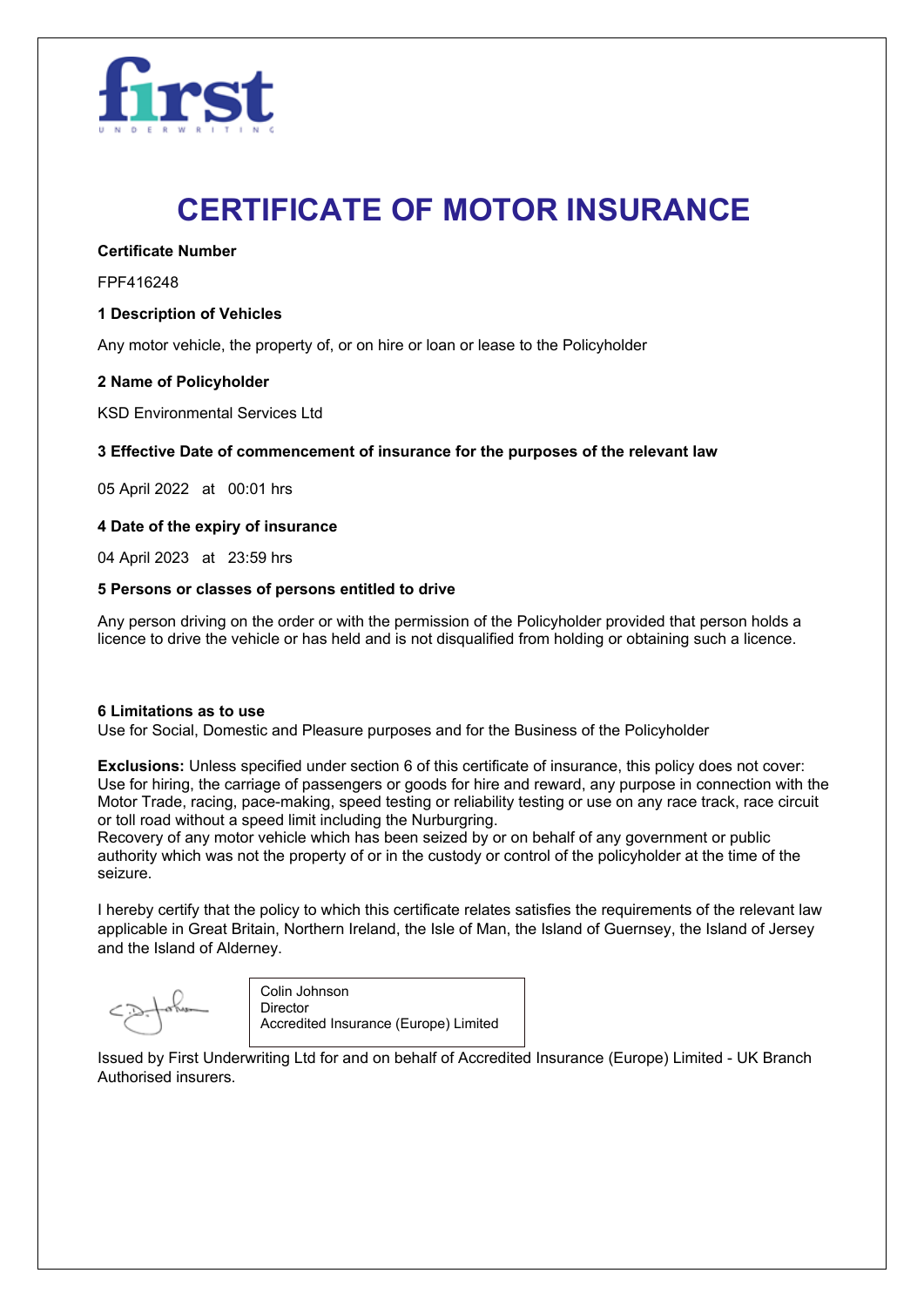

# **CERTIFICATE OF MOTOR INSURANCE**

**Certificate Number**

FPF416248

### **1 Description of Vehicles**

Any motor vehicle, the property of, or on hire or loan or lease to the Policyholder

### **2 Name of Policyholder**

KSD Environmental Services Ltd

### **3 Effective Date of commencement of insurance for the purposes of the relevant law**

05 April 2022 at 00:01 hrs

### **4 Date of the expiry of insurance**

04 April 2023 at 23:59 hrs

### **5 Persons or classes of persons entitled to drive**

Any person driving on the order or with the permission of the Policyholder provided that person holds a licence to drive the vehicle or has held and is not disqualified from holding or obtaining such a licence.

### **6 Limitations as to use**

Use for Social, Domestic and Pleasure purposes and for the Business of the Policyholder

**Exclusions:** Unless specified under section 6 of this certificate of insurance, this policy does not cover: Use for hiring, the carriage of passengers or goods for hire and reward, any purpose in connection with the Motor Trade, racing, pace-making, speed testing or reliability testing or use on any race track, race circuit or toll road without a speed limit including the Nurburgring.

Recovery of any motor vehicle which has been seized by or on behalf of any government or public authority which was not the property of or in the custody or control of the policyholder at the time of the seizure.

I hereby certify that the policy to which this certificate relates satisfies the requirements of the relevant law applicable in Great Britain, Northern Ireland, the Isle of Man, the Island of Guernsey, the Island of Jersey and the Island of Alderney.

Colin Johnson **Director** Accredited Insurance (Europe) Limited

Issued by First Underwriting Ltd for and on behalf of Accredited Insurance (Europe) Limited - UK Branch Authorised insurers.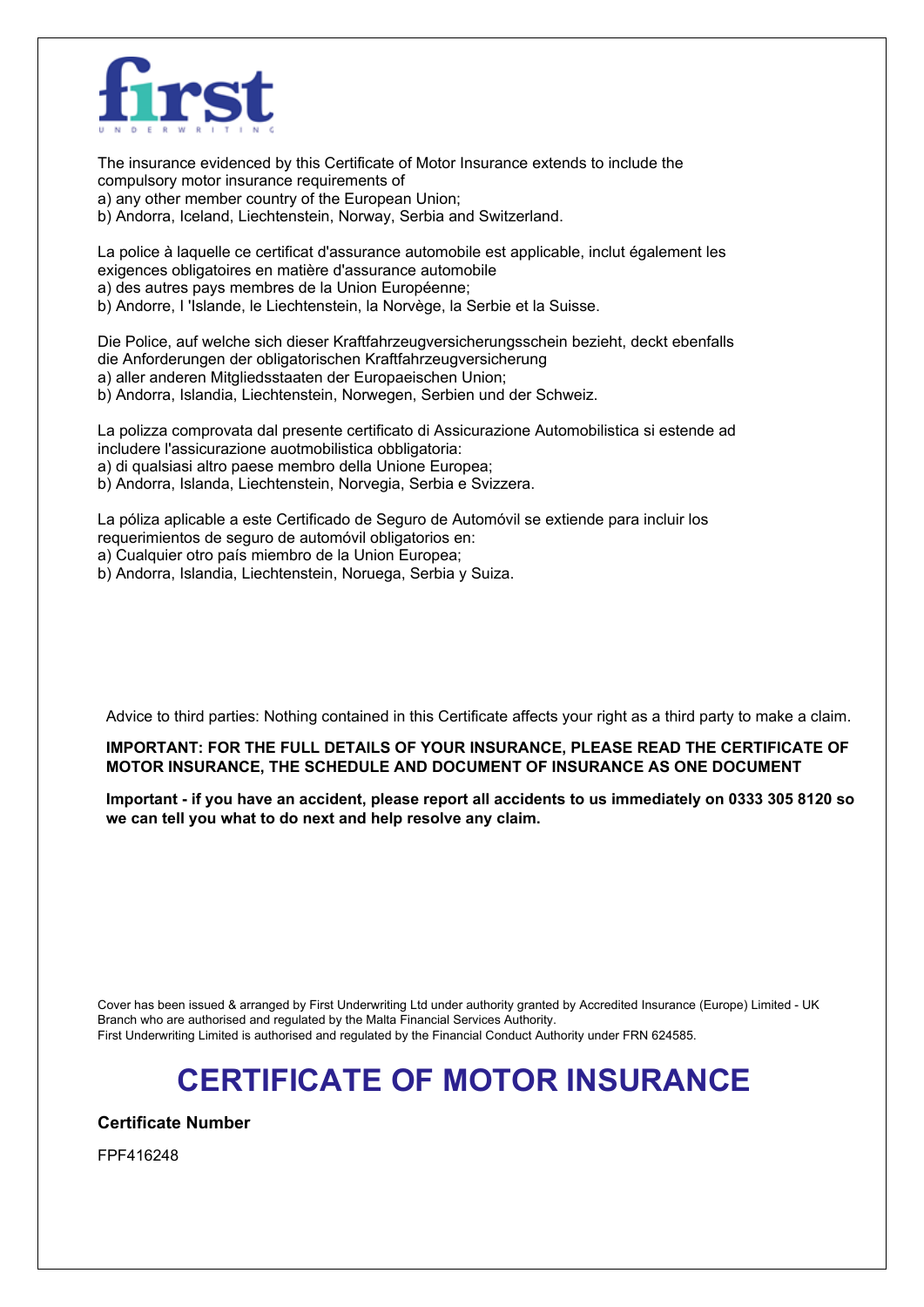

The insurance evidenced by this Certificate of Motor Insurance extends to include the compulsory motor insurance requirements of a) any other member country of the European Union;

b) Andorra, Iceland, Liechtenstein, Norway, Serbia and Switzerland.

La police à laquelle ce certificat d'assurance automobile est applicable, inclut également les exigences obligatoires en matière d'assurance automobile a) des autres pays membres de la Union Européenne;

b) Andorre, I 'Islande, le Liechtenstein, la Norvège, la Serbie et la Suisse.

Die Police, auf welche sich dieser Kraftfahrzeugversicherungsschein bezieht, deckt ebenfalls die Anforderungen der obligatorischen Kraftfahrzeugversicherung a) aller anderen Mitgliedsstaaten der Europaeischen Union; b) Andorra, Islandia, Liechtenstein, Norwegen, Serbien und der Schweiz.

La polizza comprovata dal presente certificato di Assicurazione Automobilistica si estende ad includere l'assicurazione auotmobilistica obbligatoria:

a) di qualsiasi altro paese membro della Unione Europea;

b) Andorra, Islanda, Liechtenstein, Norvegia, Serbia e Svizzera.

La póliza aplicable a este Certificado de Seguro de Automóvil se extiende para incluir los requerimientos de seguro de automóvil obligatorios en:

a) Cualquier otro país miembro de la Union Europea;

b) Andorra, Islandia, Liechtenstein, Noruega, Serbia y Suiza.

Advice to third parties: Nothing contained in this Certificate affects your right as a third party to make a claim.

**IMPORTANT: FOR THE FULL DETAILS OF YOUR INSURANCE, PLEASE READ THE CERTIFICATE OF MOTOR INSURANCE, THE SCHEDULE AND DOCUMENT OF INSURANCE AS ONE DOCUMENT**

Important - if you have an accident, please report all accidents to us immediately on 0333 305 8120 so **we can tell you what to do next and help resolve any claim.**

Cover has been issued & arranged by First Underwriting Ltd under authority granted by Accredited Insurance (Europe) Limited - UK Branch who are authorised and regulated by the Malta Financial Services Authority. First Underwriting Limited is authorised and regulated by the Financial Conduct Authority under FRN 624585.

## **CERTIFICATE OF MOTOR INSURANCE**

**Certificate Number**

FPF416248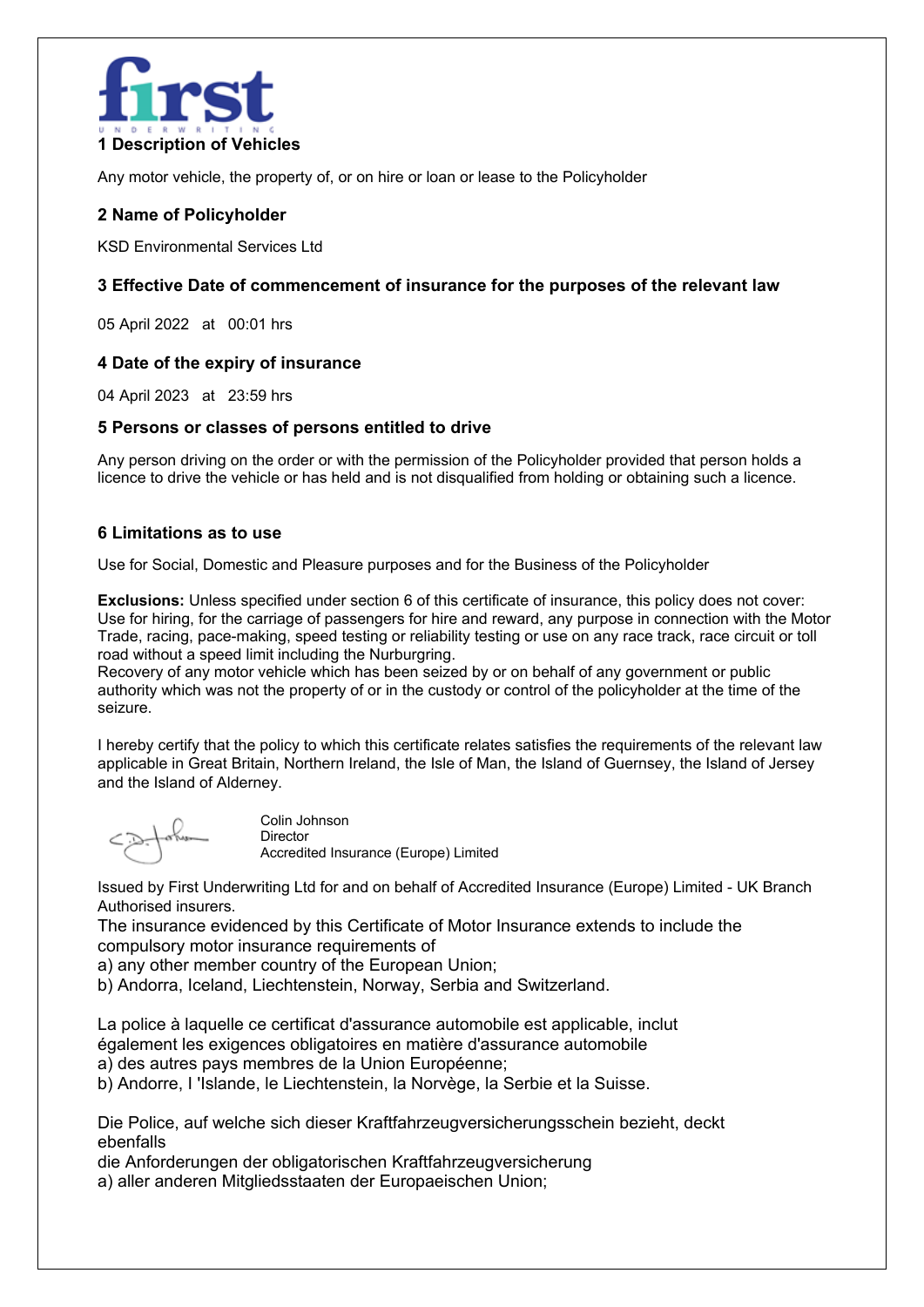

Any motor vehicle, the property of, or on hire or loan or lease to the Policyholder

## **2 Name of Policyholder**

KSD Environmental Services Ltd

## **3 Effective Date of commencement of insurance for the purposes of the relevant law**

05 April 2022 at 00:01 hrs

## **4 Date of the expiry of insurance**

04 April 2023 at 23:59 hrs

### **5 Persons or classes of persons entitled to drive**

Any person driving on the order or with the permission of the Policyholder provided that person holds a licence to drive the vehicle or has held and is not disqualified from holding or obtaining such a licence.

### **6 Limitations as to use**

Use for Social, Domestic and Pleasure purposes and for the Business of the Policyholder

**Exclusions:** Unless specified under section 6 of this certificate of insurance, this policy does not cover: Use for hiring, for the carriage of passengers for hire and reward, any purpose in connection with the Motor Trade, racing, pace-making, speed testing or reliability testing or use on any race track, race circuit or toll road without a speed limit including the Nurburgring.

Recovery of any motor vehicle which has been seized by or on behalf of any government or public authority which was not the property of or in the custody or control of the policyholder at the time of the seizure.

I hereby certify that the policy to which this certificate relates satisfies the requirements of the relevant law applicable in Great Britain, Northern Ireland, the Isle of Man, the Island of Guernsey, the Island of Jersey and the Island of Alderney.

Colin Johnson Director Accredited Insurance (Europe) Limited

Issued by First Underwriting Ltd for and on behalf of Accredited Insurance (Europe) Limited - UK Branch Authorised insurers.

The insurance evidenced by this Certificate of Motor Insurance extends to include the compulsory motor insurance requirements of

a) any other member country of the European Union;

b) Andorra, Iceland, Liechtenstein, Norway, Serbia and Switzerland.

La police à laquelle ce certificat d'assurance automobile est applicable, inclut également les exigences obligatoires en matière d'assurance automobile

a) des autres pays membres de la Union Européenne;

b) Andorre, I 'Islande, le Liechtenstein, la Norvège, la Serbie et la Suisse.

Die Police, auf welche sich dieser Kraftfahrzeugversicherungsschein bezieht, deckt ebenfalls

die Anforderungen der obligatorischen Kraftfahrzeugversicherung

a) aller anderen Mitgliedsstaaten der Europaeischen Union;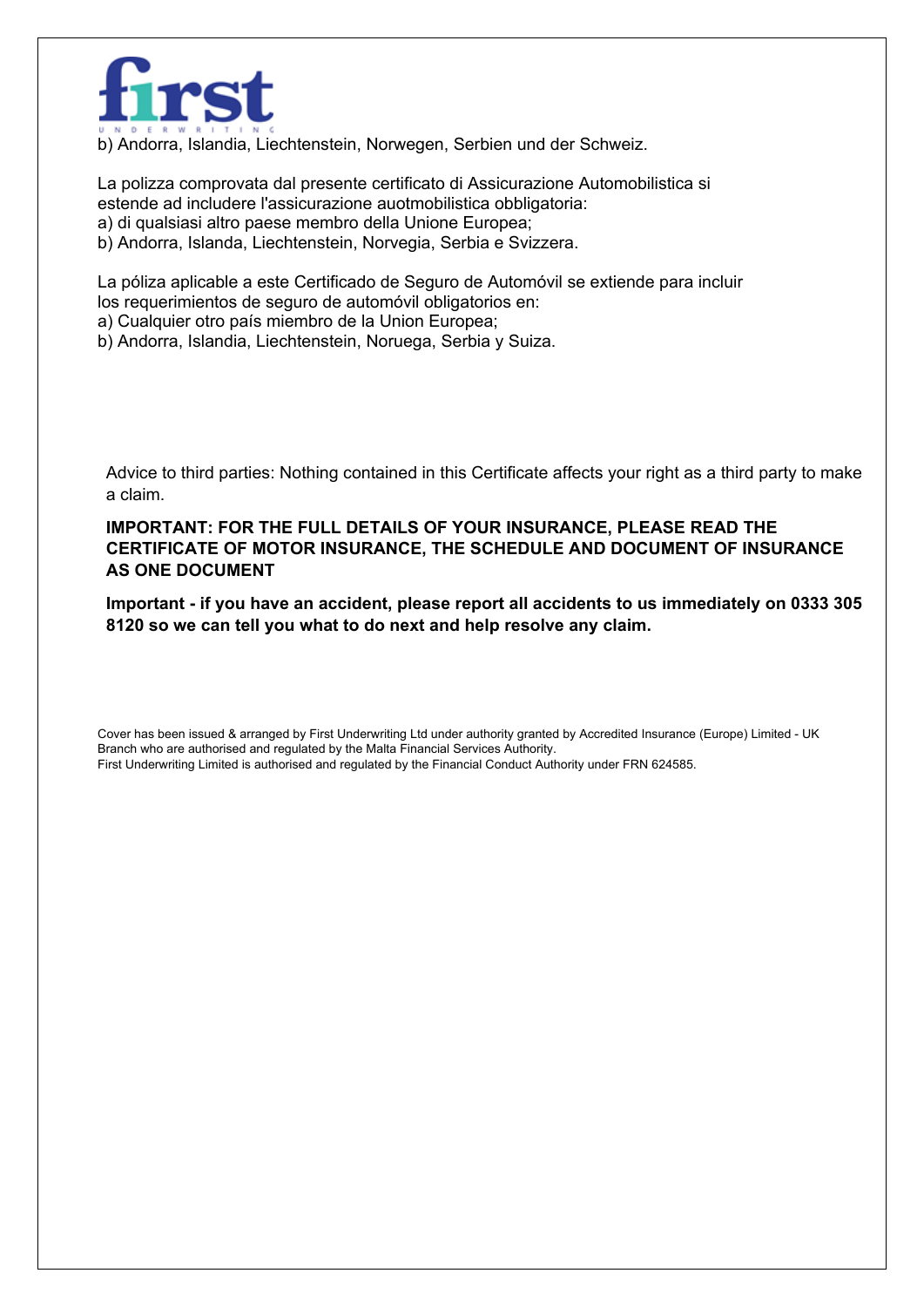

b) Andorra, Islandia, Liechtenstein, Norwegen, Serbien und der Schweiz.

La polizza comprovata dal presente certificato di Assicurazione Automobilistica si estende ad includere l'assicurazione auotmobilistica obbligatoria:

a) di qualsiasi altro paese membro della Unione Europea;

b) Andorra, Islanda, Liechtenstein, Norvegia, Serbia e Svizzera.

La póliza aplicable a este Certificado de Seguro de Automóvil se extiende para incluir los requerimientos de seguro de automóvil obligatorios en:

a) Cualquier otro país miembro de la Union Europea;

b) Andorra, Islandia, Liechtenstein, Noruega, Serbia y Suiza.

Advice to third parties: Nothing contained in this Certificate affects your right as a third party to make a claim.

## **IMPORTANT: FOR THE FULL DETAILS OF YOUR INSURANCE, PLEASE READ THE CERTIFICATE OF MOTOR INSURANCE, THE SCHEDULE AND DOCUMENT OF INSURANCE AS ONE DOCUMENT**

**Important - if you have an accident, please report all accidents to us immediately on 0333 305 8120 so we can tell you what to do next and help resolve any claim.**

Cover has been issued & arranged by First Underwriting Ltd under authority granted by Accredited Insurance (Europe) Limited - UK Branch who are authorised and regulated by the Malta Financial Services Authority. First Underwriting Limited is authorised and regulated by the Financial Conduct Authority under FRN 624585.